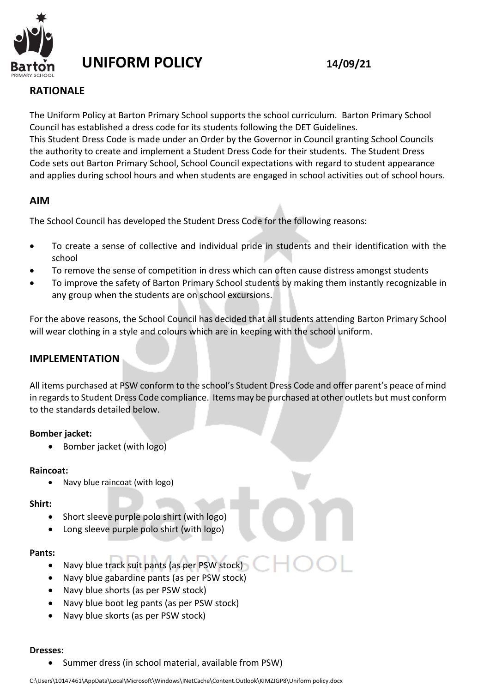

# **UNIFORM POLICY 14/09/21**

## **RATIONALE**

The Uniform Policy at Barton Primary School supports the school curriculum. Barton Primary School Council has established a dress code for its students following the DET Guidelines. This Student Dress Code is made under an Order by the Governor in Council granting School Councils the authority to create and implement a Student Dress Code for their students. The Student Dress Code sets out Barton Primary School, School Council expectations with regard to student appearance and applies during school hours and when students are engaged in school activities out of school hours.

## **AIM**

The School Council has developed the Student Dress Code for the following reasons:

- To create a sense of collective and individual pride in students and their identification with the school
- To remove the sense of competition in dress which can often cause distress amongst students
- To improve the safety of Barton Primary School students by making them instantly recognizable in any group when the students are on school excursions.

For the above reasons, the School Council has decided that all students attending Barton Primary School will wear clothing in a style and colours which are in keeping with the school uniform.

## **IMPLEMENTATION**

All items purchased at PSW conform to the school's Student Dress Code and offer parent's peace of mind in regards to Student Dress Code compliance. Items may be purchased at other outlets but must conform to the standards detailed below.

### **Bomber jacket:**

• Bomber jacket (with logo)

#### **Raincoat:**

• Navy blue raincoat (with logo)

#### **Shirt:**

- Short sleeve purple polo shirt (with logo)
- Long sleeve purple polo shirt (with logo)

#### **Pants:**

- Navy blue track suit pants (as per PSW stock)
- Navy blue gabardine pants (as per PSW stock)
- Navy blue shorts (as per PSW stock)
- Navy blue boot leg pants (as per PSW stock)
- Navy blue skorts (as per PSW stock)

#### **Dresses:**

• Summer dress (in school material, available from PSW)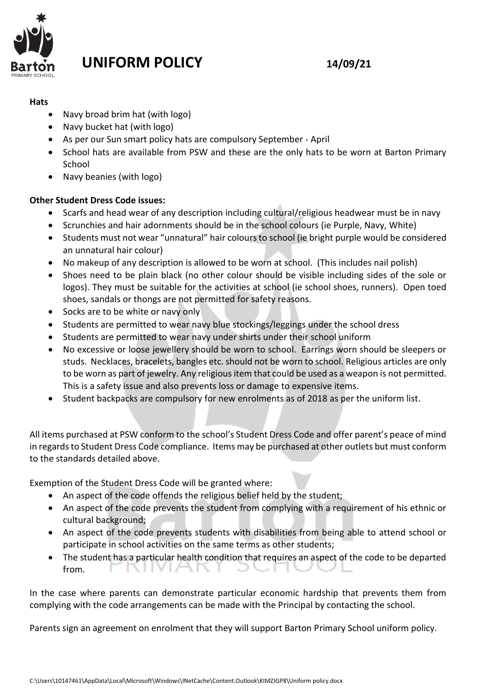

# **UNIFORM POLICY 14/09/21**

### **Hats**

- Navy broad brim hat (with logo)
- Navy bucket hat (with logo)
- As per our Sun smart policy hats are compulsory September April
- School hats are available from PSW and these are the only hats to be worn at Barton Primary School
- Navy beanies (with logo)

## **Other Student Dress Code issues:**

- Scarfs and head wear of any description including cultural/religious headwear must be in navy
- Scrunchies and hair adornments should be in the school colours (ie Purple, Navy, White)
- Students must not wear "unnatural" hair colours to school (ie bright purple would be considered an unnatural hair colour)
- No makeup of any description is allowed to be worn at school. (This includes nail polish)
- Shoes need to be plain black (no other colour should be visible including sides of the sole or logos). They must be suitable for the activities at school (ie school shoes, runners). Open toed shoes, sandals or thongs are not permitted for safety reasons.
- Socks are to be white or navy only
- Students are permitted to wear navy blue stockings/leggings under the school dress
- Students are permitted to wear navy under shirts under their school uniform
- No excessive or loose jewellery should be worn to school. Earrings worn should be sleepers or studs. Necklaces, bracelets, bangles etc. should not be worn to school. Religious articles are only to be worn as part of jewelry. Any religious item that could be used as a weapon is not permitted. This is a safety issue and also prevents loss or damage to expensive items.
- Student backpacks are compulsory for new enrolments as of 2018 as per the uniform list.

All items purchased at PSW conform to the school's Student Dress Code and offer parent's peace of mind in regards to Student Dress Code compliance. Items may be purchased at other outlets but must conform to the standards detailed above.

Exemption of the Student Dress Code will be granted where:

- An aspect of the code offends the religious belief held by the student;
- An aspect of the code prevents the student from complying with a requirement of his ethnic or cultural background;
- An aspect of the code prevents students with disabilities from being able to attend school or participate in school activities on the same terms as other students;
- The student has a particular health condition that requires an aspect of the code to be departed - 7 from. ъπ ヽ

In the case where parents can demonstrate particular economic hardship that prevents them from complying with the code arrangements can be made with the Principal by contacting the school.

Parents sign an agreement on enrolment that they will support Barton Primary School uniform policy.